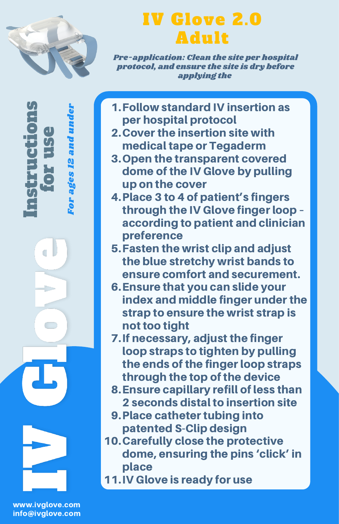

 $\mathbf{e}$  . rE,  $\bm{U}_t$ e

Fo r a ge s. - 1 N a n dun der

In $\bm{U}_t$ trE, c

Ò

tio

n $\bm{U}_t$ 

## IV Glove 2.0 Adult

Pre-application: Clean the site per hospital protocol, and ensure the site is dry before applying the

- Follow standard IV insertion as 1. per hospital protocol
- 2. Cover the insertion site with medical tape or Tegaderm
- 3. Open the transparent covered dome of the IV Glove by pulling up on the cover
- Place 3 to 4 of patient's fingers 4. through the IV Glove finger loop – according to patient and clinician preference
- Fasten the wrist clip and adjust 5. the blue stretchy wrist bands to ensure comfort and securement.
- Ensure that you can slide your 6. index and middle finger under the strap to ensure the wrist strap is not too tight
- 7. If necessary, adiust the finger loop straps to tighten by pulling the ends of the finger loop straps through the top of the device
- Ensure capillary refill of less than 8. 2 seconds distal to insertion site
- 9. Place catheter tubing into patented S-Clip design
- 10. Carefully close the protective dome, ensuring the pins 'click' in place
- 11. IV Glove is ready for use

www.ivglove.com info@ivglove.com